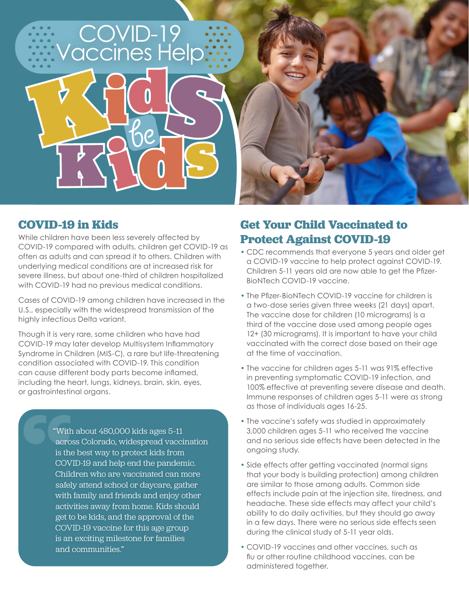

### **COVID-19 in Kids**

While children have been less severely affected by COVID-19 compared with adults, children get COVID-19 as often as adults and can spread it to others. Children with underlying medical conditions are at increased risk for severe illness, but about one-third of children hospitalized with COVID-19 had no previous medical conditions.

Cases of COVID-19 among children have increased in the U.S., especially with the widespread transmission of the highly infectious Delta variant.

Though it is very rare, some children who have had COVID-19 may later develop Multisystem Inflammatory Syndrome in Children (MIS-C), a rare but life-threatening condition associated with COVID-19. This condition can cause different body parts become inflamed, including the heart, lungs, kidneys, brain, skin, eyes, or gastrointestinal organs.

> "With about 480,000 kids ages 5–11 across Colorado, widespread vaccination is the best way to protect kids from COVID-19 and help end the pandemic. Children who are vaccinated can more safely attend school or daycare, gather with family and friends and enjoy other activities away from home. Kids should get to be kids, and the approval of the COVID-19 vaccine for this age group is an exciting milestone for families and communities."

# **Get Your Child Vaccinated to Protect Against COVID-19**

- CDC recommends that everyone 5 years and older get a COVID-19 vaccine to help protect against COVID-19. Children 5-11 years old are now able to get the Pfizer-BioNTech COVID-19 vaccine.
- The Pfizer-BioNTech COVID-19 vaccine for children is a two-dose series given three weeks (21 days) apart. The vaccine dose for children (10 micrograms) is a third of the vaccine dose used among people ages 12+ (30 micrograms). It is important to have your child vaccinated with the correct dose based on their age at the time of vaccination.
- The vaccine for children ages 5-11 was 91% effective in preventing symptomatic COVID-19 infection, and 100% effective at preventing severe disease and death. Immune responses of children ages 5-11 were as strong as those of individuals ages 16-25.
- The vaccine's safety was studied in approximately 3,000 children ages 5-11 who received the vaccine and no serious side effects have been detected in the ongoing study.
- Side effects after getting vaccinated (normal signs that your body is building protection) among children are similar to those among adults. Common side effects include pain at the injection site, tiredness, and headache. These side effects may affect your child's ability to do daily activities, but they should go away in a few days. There were no serious side effects seen during the clinical study of 5-11 year olds.
- COVID-19 vaccines and other vaccines, such as flu or other routine childhood vaccines, can be administered together.